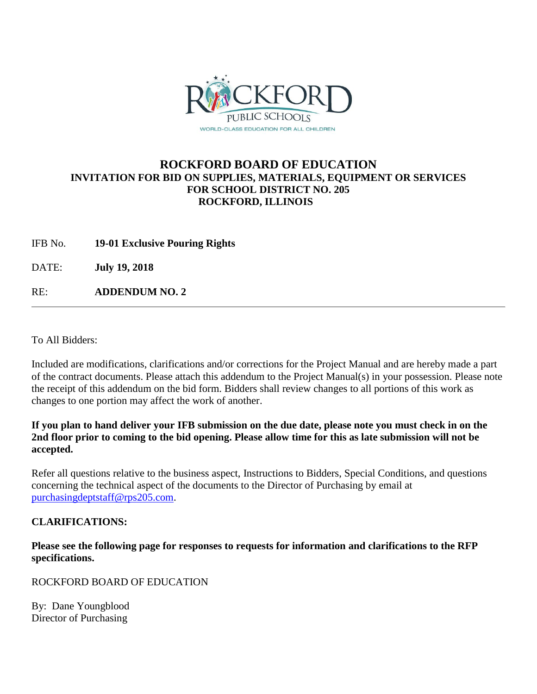

## **ROCKFORD BOARD OF EDUCATION INVITATION FOR BID ON SUPPLIES, MATERIALS, EQUIPMENT OR SERVICES FOR SCHOOL DISTRICT NO. 205 ROCKFORD, ILLINOIS**

IFB No. **19-01 Exclusive Pouring Rights**

DATE: **July 19, 2018**

RE: **ADDENDUM NO. 2**

To All Bidders:

Included are modifications, clarifications and/or corrections for the Project Manual and are hereby made a part of the contract documents. Please attach this addendum to the Project Manual(s) in your possession. Please note the receipt of this addendum on the bid form. Bidders shall review changes to all portions of this work as changes to one portion may affect the work of another.

## **If you plan to hand deliver your IFB submission on the due date, please note you must check in on the 2nd floor prior to coming to the bid opening. Please allow time for this as late submission will not be accepted.**

Refer all questions relative to the business aspect, Instructions to Bidders, Special Conditions, and questions concerning the technical aspect of the documents to the Director of Purchasing by email at [purchasingdeptstaff@rps205.com.](mailto:purchasingdeptstaff@rps205.com)

## **CLARIFICATIONS:**

**Please see the following page for responses to requests for information and clarifications to the RFP specifications.**

ROCKFORD BOARD OF EDUCATION

By: Dane Youngblood Director of Purchasing